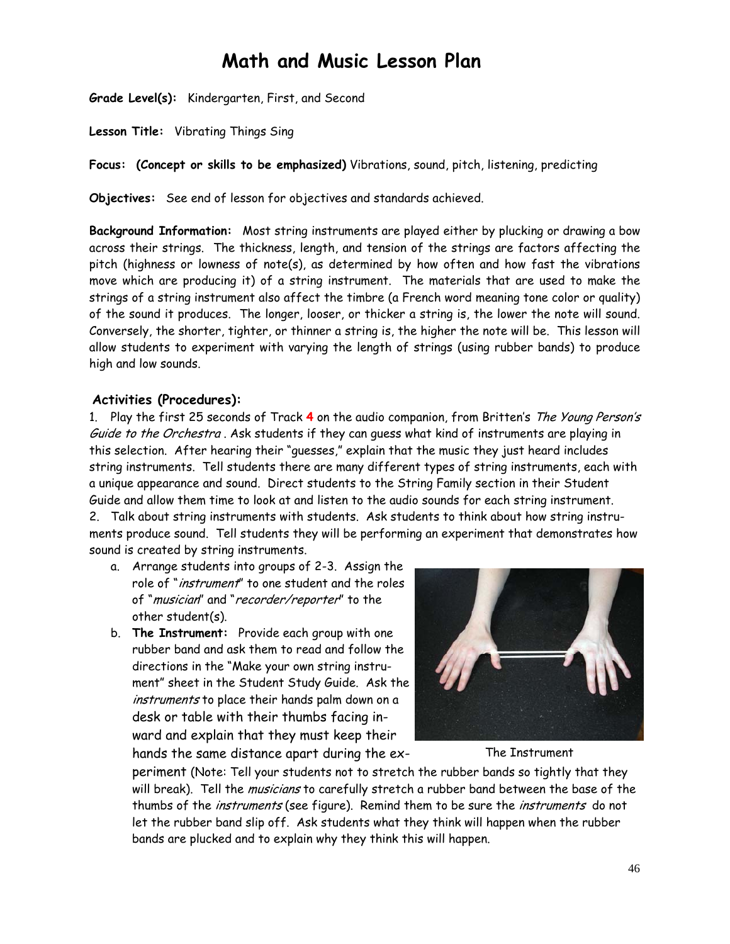# **Math and Music Lesson Plan**

**Grade Level(s):** Kindergarten, First, and Second

**Lesson Title:** Vibrating Things Sing

**Focus: (Concept or skills to be emphasized)** Vibrations, sound, pitch, listening, predicting

**Objectives:** See end of lesson for objectives and standards achieved.

**Background Information:** Most string instruments are played either by plucking or drawing a bow across their strings. The thickness, length, and tension of the strings are factors affecting the pitch (highness or lowness of note(s), as determined by how often and how fast the vibrations move which are producing it) of a string instrument. The materials that are used to make the strings of a string instrument also affect the timbre (a French word meaning tone color or quality) of the sound it produces. The longer, looser, or thicker a string is, the lower the note will sound. Conversely, the shorter, tighter, or thinner a string is, the higher the note will be. This lesson will allow students to experiment with varying the length of strings (using rubber bands) to produce high and low sounds.

## **Activities (Procedures):**

1. Play the first 25 seconds of Track **4** on the audio companion, from Britten's The Young Person's Guide to the Orchestra. Ask students if they can quess what kind of instruments are playing in this selection. After hearing their "guesses," explain that the music they just heard includes string instruments. Tell students there are many different types of string instruments, each with a unique appearance and sound. Direct students to the String Family section in their Student Guide and allow them time to look at and listen to the audio sounds for each string instrument. 2. Talk about string instruments with students. Ask students to think about how string instruments produce sound. Tell students they will be performing an experiment that demonstrates how sound is created by string instruments.

- a. Arrange students into groups of 2-3. Assign the role of "instrument" to one student and the roles of "musician" and "recorder/reporter" to the other student(s).
- b. **The Instrument:** Provide each group with one rubber band and ask them to read and follow the directions in the "Make your own string instrument" sheet in the Student Study Guide. Ask the instruments to place their hands palm down on a desk or table with their thumbs facing inward and explain that they must keep their hands the same distance apart during the ex-



The Instrument

periment (Note: Tell your students not to stretch the rubber bands so tightly that they will break). Tell the *musicians* to carefully stretch a rubber band between the base of the thumbs of the *instruments* (see figure). Remind them to be sure the *instruments* do not let the rubber band slip off. Ask students what they think will happen when the rubber bands are plucked and to explain why they think this will happen.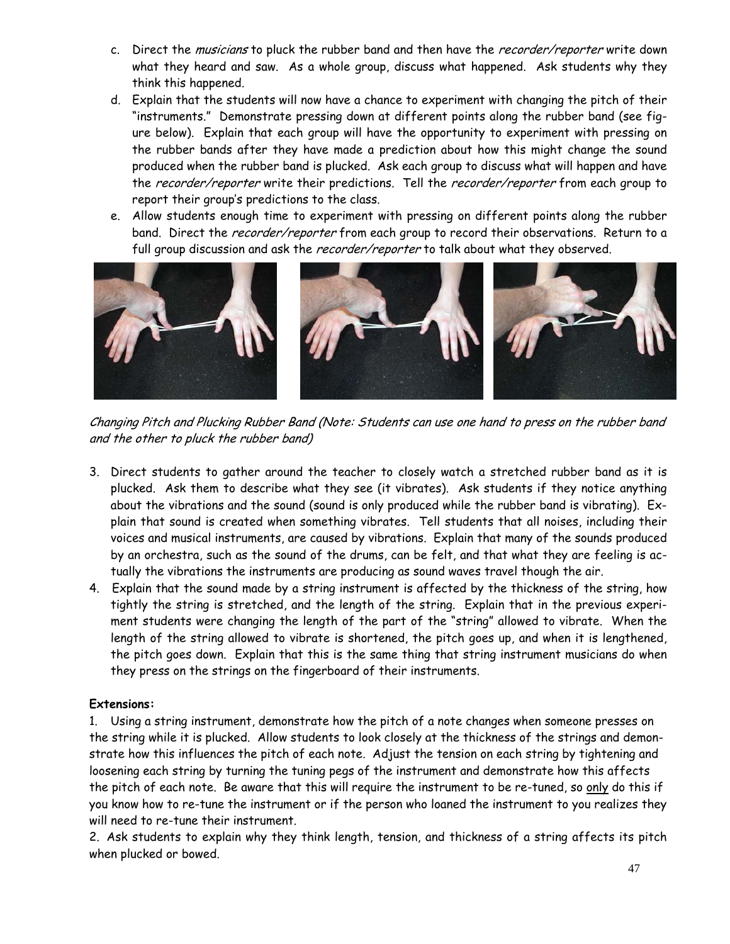- c. Direct the musicians to pluck the rubber band and then have the recorder/reporter write down what they heard and saw. As a whole group, discuss what happened. Ask students why they think this happened.
- d. Explain that the students will now have a chance to experiment with changing the pitch of their "instruments." Demonstrate pressing down at different points along the rubber band (see figure below). Explain that each group will have the opportunity to experiment with pressing on the rubber bands after they have made a prediction about how this might change the sound produced when the rubber band is plucked. Ask each group to discuss what will happen and have the recorder/reporter write their predictions. Tell the recorder/reporter from each group to report their group's predictions to the class.
- e. Allow students enough time to experiment with pressing on different points along the rubber band. Direct the *recorder/reporter* from each group to record their observations. Return to a full group discussion and ask the *recorder/reporter* to talk about what they observed.



Changing Pitch and Plucking Rubber Band (Note: Students can use one hand to press on the rubber band and the other to pluck the rubber band)

- 3. Direct students to gather around the teacher to closely watch a stretched rubber band as it is plucked. Ask them to describe what they see (it vibrates). Ask students if they notice anything about the vibrations and the sound (sound is only produced while the rubber band is vibrating). Explain that sound is created when something vibrates. Tell students that all noises, including their voices and musical instruments, are caused by vibrations. Explain that many of the sounds produced by an orchestra, such as the sound of the drums, can be felt, and that what they are feeling is actually the vibrations the instruments are producing as sound waves travel though the air.
- 4. Explain that the sound made by a string instrument is affected by the thickness of the string, how tightly the string is stretched, and the length of the string. Explain that in the previous experiment students were changing the length of the part of the "string" allowed to vibrate. When the length of the string allowed to vibrate is shortened, the pitch goes up, and when it is lengthened, the pitch goes down. Explain that this is the same thing that string instrument musicians do when they press on the strings on the fingerboard of their instruments.

## **Extensions:**

1. Using a string instrument, demonstrate how the pitch of a note changes when someone presses on the string while it is plucked. Allow students to look closely at the thickness of the strings and demonstrate how this influences the pitch of each note. Adjust the tension on each string by tightening and loosening each string by turning the tuning pegs of the instrument and demonstrate how this affects the pitch of each note. Be aware that this will require the instrument to be re-tuned, so only do this if you know how to re-tune the instrument or if the person who loaned the instrument to you realizes they will need to re-tune their instrument.

2. Ask students to explain why they think length, tension, and thickness of a string affects its pitch when plucked or bowed.